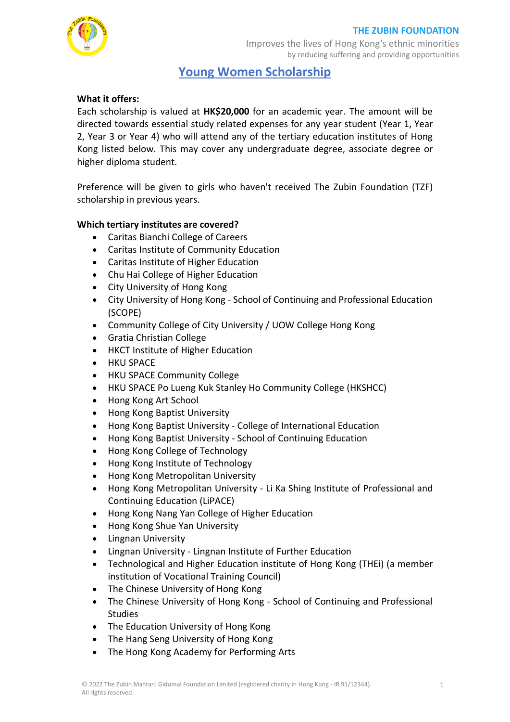

Improves the lives of Hong Kong's ethnic minorities by reducing suffering and providing opportunities

# **Young Women Scholarship**

### **What it offers:**

Each scholarship is valued at **HK\$20,000** for an academic year. The amount will be directed towards essential study related expenses for any year student (Year 1, Year 2, Year 3 or Year 4) who will attend any of the tertiary education institutes of Hong Kong listed below. This may cover any undergraduate degree, associate degree or higher diploma student.

Preference will be given to girls who haven't received The Zubin Foundation (TZF) scholarship in previous years.

### **Which tertiary institutes are covered?**

- Caritas Bianchi College of Careers
- Caritas Institute of Community Education
- Caritas Institute of Higher Education
- Chu Hai College of Higher Education
- City University of Hong Kong
- City University of Hong Kong School of Continuing and Professional Education (SCOPE)
- Community College of City University / UOW College Hong Kong
- Gratia Christian College
- HKCT Institute of Higher Education
- HKU SPACE
- HKU SPACE Community College
- HKU SPACE Po Lueng Kuk Stanley Ho Community College (HKSHCC)
- Hong Kong Art School
- Hong Kong Baptist University
- Hong Kong Baptist University College of International Education
- Hong Kong Baptist University School of Continuing Education
- Hong Kong College of Technology
- Hong Kong Institute of Technology
- Hong Kong Metropolitan University
- Hong Kong Metropolitan University Li Ka Shing Institute of Professional and Continuing Education (LiPACE)
- Hong Kong Nang Yan College of Higher Education
- Hong Kong Shue Yan University
- Lingnan University
- Lingnan University Lingnan Institute of Further Education
- Technological and Higher Education institute of Hong Kong (THEi) (a member institution of Vocational Training Council)
- The Chinese University of Hong Kong
- The Chinese University of Hong Kong School of Continuing and Professional **Studies**
- The Education University of Hong Kong
- The Hang Seng University of Hong Kong
- The Hong Kong Academy for Performing Arts